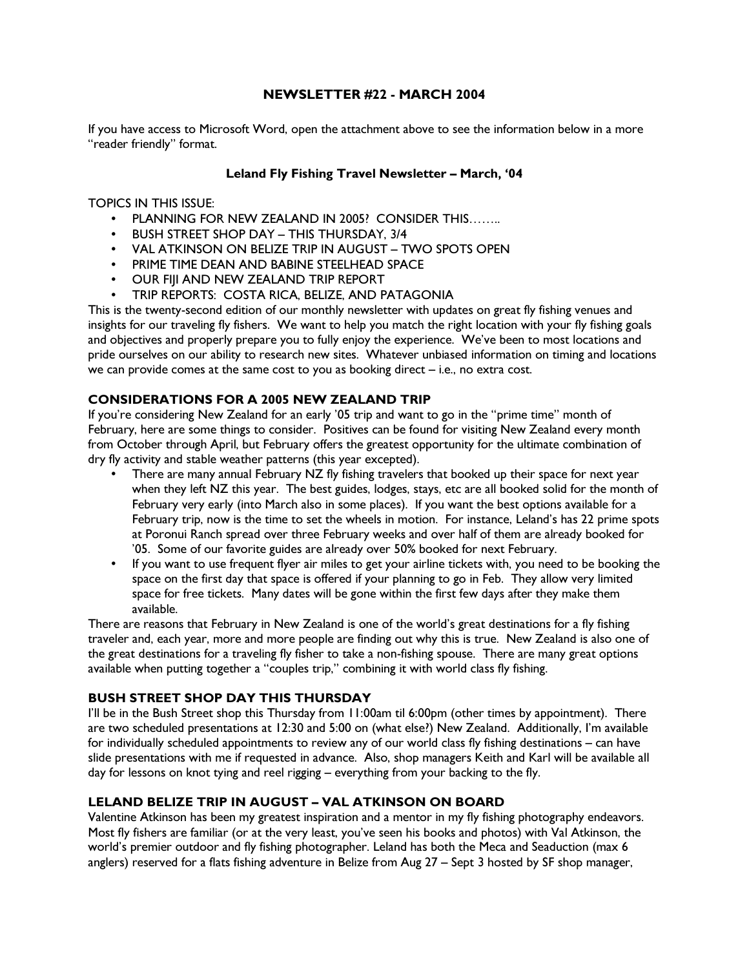### NEWSLETTER #22 - MARCH 2004

If you have access to Microsoft Word, open the attachment above to see the information below in a more "reader friendly" format.

#### Leland Fly Fishing Travel Newsletter – March, '04

#### TOPICS IN THIS ISSUE:

- PLANNING FOR NEW ZEALAND IN 2005? CONSIDER THIS……..
- BUSH STREET SHOP DAY THIS THURSDAY, 3/4
- VAL ATKINSON ON BELIZE TRIP IN AUGUST TWO SPOTS OPEN
- PRIME TIME DEAN AND BABINE STEELHEAD SPACE
- OUR FIJI AND NEW ZEALAND TRIP REPORT
- TRIP REPORTS: COSTA RICA, BELIZE, AND PATAGONIA

This is the twenty-second edition of our monthly newsletter with updates on great fly fishing venues and insights for our traveling fly fishers. We want to help you match the right location with your fly fishing goals and objectives and properly prepare you to fully enjoy the experience. We've been to most locations and pride ourselves on our ability to research new sites. Whatever unbiased information on timing and locations we can provide comes at the same cost to you as booking direct – i.e., no extra cost.

#### CONSIDERATIONS FOR A 2005 NEW ZEALAND TRIP

If you're considering New Zealand for an early '05 trip and want to go in the "prime time" month of February, here are some things to consider. Positives can be found for visiting New Zealand every month from October through April, but February offers the greatest opportunity for the ultimate combination of dry fly activity and stable weather patterns (this year excepted).

- There are many annual February NZ fly fishing travelers that booked up their space for next year when they left NZ this year. The best guides, lodges, stays, etc are all booked solid for the month of February very early (into March also in some places). If you want the best options available for a February trip, now is the time to set the wheels in motion. For instance, Leland's has 22 prime spots at Poronui Ranch spread over three February weeks and over half of them are already booked for '05. Some of our favorite guides are already over 50% booked for next February.
- If you want to use frequent flyer air miles to get your airline tickets with, you need to be booking the space on the first day that space is offered if your planning to go in Feb. They allow very limited space for free tickets. Many dates will be gone within the first few days after they make them available.

There are reasons that February in New Zealand is one of the world's great destinations for a fly fishing traveler and, each year, more and more people are finding out why this is true. New Zealand is also one of the great destinations for a traveling fly fisher to take a non-fishing spouse. There are many great options available when putting together a "couples trip," combining it with world class fly fishing.

### BUSH STREET SHOP DAY THIS THURSDAY

I'll be in the Bush Street shop this Thursday from 11:00am til 6:00pm (other times by appointment). There are two scheduled presentations at 12:30 and 5:00 on (what else?) New Zealand. Additionally, I'm available for individually scheduled appointments to review any of our world class fly fishing destinations – can have slide presentations with me if requested in advance. Also, shop managers Keith and Karl will be available all day for lessons on knot tying and reel rigging – everything from your backing to the fly.

## LELAND BELIZE TRIP IN AUGUST – VAL ATKINSON ON BOARD

Valentine Atkinson has been my greatest inspiration and a mentor in my fly fishing photography endeavors. Most fly fishers are familiar (or at the very least, you've seen his books and photos) with Val Atkinson, the world's premier outdoor and fly fishing photographer. Leland has both the Meca and Seaduction (max 6 anglers) reserved for a flats fishing adventure in Belize from Aug 27 – Sept 3 hosted by SF shop manager,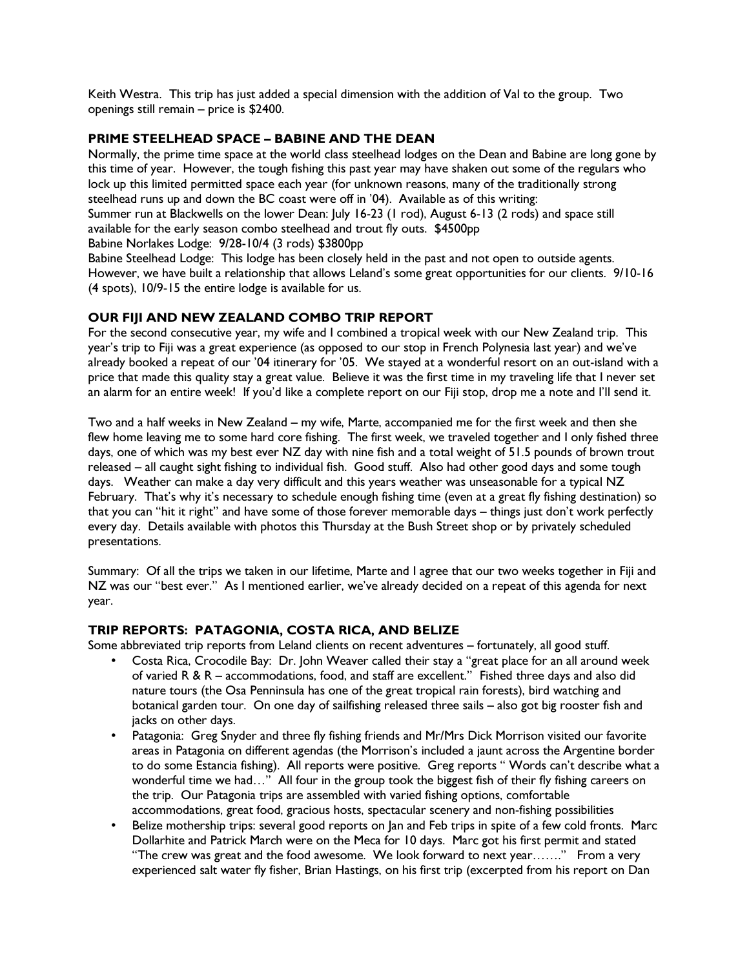Keith Westra. This trip has just added a special dimension with the addition of Val to the group. Two openings still remain – price is \$2400.

## PRIME STEELHEAD SPACE – BABINE AND THE DEAN

Normally, the prime time space at the world class steelhead lodges on the Dean and Babine are long gone by this time of year. However, the tough fishing this past year may have shaken out some of the regulars who lock up this limited permitted space each year (for unknown reasons, many of the traditionally strong steelhead runs up and down the BC coast were off in '04). Available as of this writing: Summer run at Blackwells on the lower Dean: July 16-23 (1 rod), August 6-13 (2 rods) and space still available for the early season combo steelhead and trout fly outs. \$4500pp

Babine Norlakes Lodge: 9/28-10/4 (3 rods) \$3800pp

Babine Steelhead Lodge: This lodge has been closely held in the past and not open to outside agents. However, we have built a relationship that allows Leland's some great opportunities for our clients. 9/10-16 (4 spots), 10/9-15 the entire lodge is available for us.

# OUR FIJI AND NEW ZEALAND COMBO TRIP REPORT

For the second consecutive year, my wife and I combined a tropical week with our New Zealand trip. This year's trip to Fiji was a great experience (as opposed to our stop in French Polynesia last year) and we've already booked a repeat of our '04 itinerary for '05. We stayed at a wonderful resort on an out-island with a price that made this quality stay a great value. Believe it was the first time in my traveling life that I never set an alarm for an entire week! If you'd like a complete report on our Fiji stop, drop me a note and I'll send it.

Two and a half weeks in New Zealand – my wife, Marte, accompanied me for the first week and then she flew home leaving me to some hard core fishing. The first week, we traveled together and I only fished three days, one of which was my best ever NZ day with nine fish and a total weight of 51.5 pounds of brown trout released – all caught sight fishing to individual fish. Good stuff. Also had other good days and some tough days. Weather can make a day very difficult and this years weather was unseasonable for a typical NZ February. That's why it's necessary to schedule enough fishing time (even at a great fly fishing destination) so that you can "hit it right" and have some of those forever memorable days – things just don't work perfectly every day. Details available with photos this Thursday at the Bush Street shop or by privately scheduled presentations.

Summary: Of all the trips we taken in our lifetime, Marte and I agree that our two weeks together in Fiji and NZ was our "best ever." As I mentioned earlier, we've already decided on a repeat of this agenda for next year.

### TRIP REPORTS: PATAGONIA, COSTA RICA, AND BELIZE

Some abbreviated trip reports from Leland clients on recent adventures – fortunately, all good stuff.

- Costa Rica, Crocodile Bay: Dr. John Weaver called their stay a "great place for an all around week of varied R & R – accommodations, food, and staff are excellent." Fished three days and also did nature tours (the Osa Penninsula has one of the great tropical rain forests), bird watching and botanical garden tour. On one day of sailfishing released three sails – also got big rooster fish and jacks on other days.
- Patagonia: Greg Snyder and three fly fishing friends and Mr/Mrs Dick Morrison visited our favorite areas in Patagonia on different agendas (the Morrison's included a jaunt across the Argentine border to do some Estancia fishing). All reports were positive. Greg reports " Words can't describe what a wonderful time we had…" All four in the group took the biggest fish of their fly fishing careers on the trip. Our Patagonia trips are assembled with varied fishing options, comfortable accommodations, great food, gracious hosts, spectacular scenery and non-fishing possibilities
- Belize mothership trips: several good reports on Jan and Feb trips in spite of a few cold fronts. Marc Dollarhite and Patrick March were on the Meca for 10 days. Marc got his first permit and stated "The crew was great and the food awesome. We look forward to next year……." From a very experienced salt water fly fisher, Brian Hastings, on his first trip (excerpted from his report on Dan